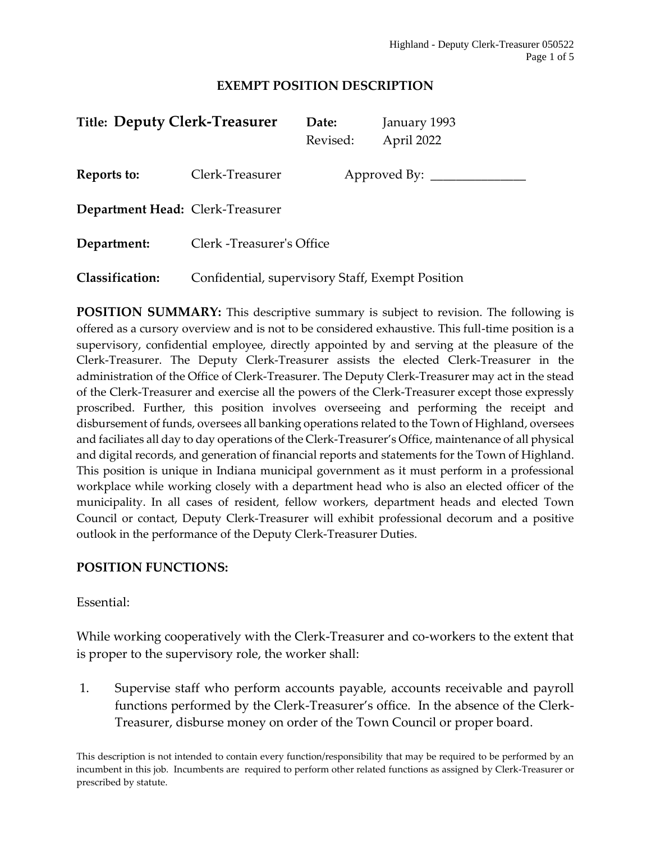## **EXEMPT POSITION DESCRIPTION**

| <b>Title: Deputy Clerk-Treasurer</b> |                                                  | Date:<br>Revised: | January 1993<br>April 2022 |
|--------------------------------------|--------------------------------------------------|-------------------|----------------------------|
| Reports to:                          | Clerk-Treasurer                                  |                   | Approved By: $\_\_$        |
| Department Head: Clerk-Treasurer     |                                                  |                   |                            |
| Department:                          | Clerk - Treasurer's Office                       |                   |                            |
| <b>Classification:</b>               | Confidential, supervisory Staff, Exempt Position |                   |                            |

**POSITION SUMMARY:** This descriptive summary is subject to revision. The following is offered as a cursory overview and is not to be considered exhaustive. This full-time position is a supervisory, confidential employee, directly appointed by and serving at the pleasure of the Clerk-Treasurer. The Deputy Clerk-Treasurer assists the elected Clerk-Treasurer in the administration of the Office of Clerk-Treasurer. The Deputy Clerk-Treasurer may act in the stead of the Clerk-Treasurer and exercise all the powers of the Clerk-Treasurer except those expressly proscribed. Further, this position involves overseeing and performing the receipt and disbursement of funds, oversees all banking operations related to the Town of Highland, oversees and faciliates all day to day operations of the Clerk-Treasurer's Office, maintenance of all physical and digital records, and generation of financial reports and statements for the Town of Highland. This position is unique in Indiana municipal government as it must perform in a professional workplace while working closely with a department head who is also an elected officer of the municipality. In all cases of resident, fellow workers, department heads and elected Town Council or contact, Deputy Clerk-Treasurer will exhibit professional decorum and a positive outlook in the performance of the Deputy Clerk-Treasurer Duties.

# **POSITION FUNCTIONS:**

## Essential:

While working cooperatively with the Clerk-Treasurer and co-workers to the extent that is proper to the supervisory role, the worker shall:

1. Supervise staff who perform accounts payable, accounts receivable and payroll functions performed by the Clerk-Treasurer's office. In the absence of the Clerk-Treasurer, disburse money on order of the Town Council or proper board.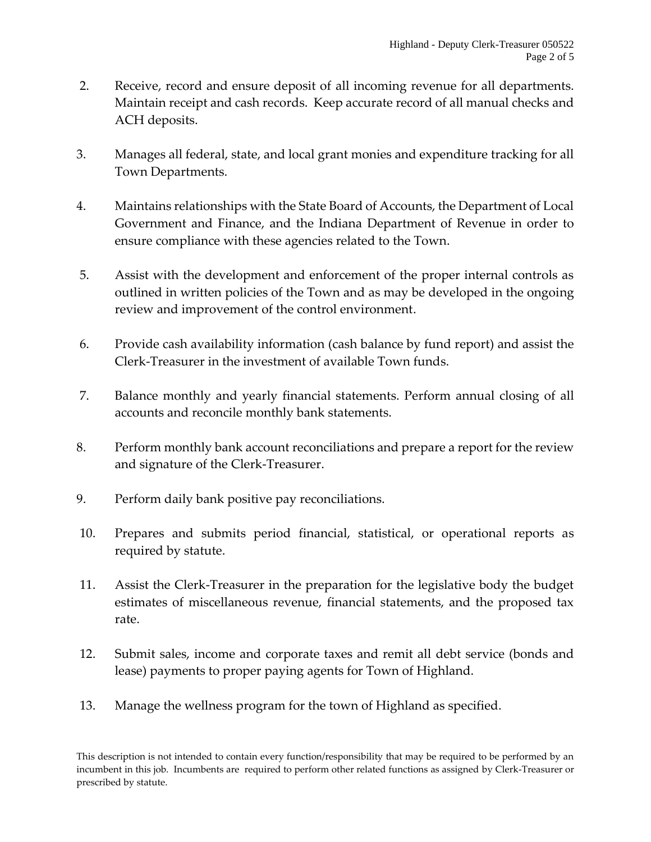- 2. Receive, record and ensure deposit of all incoming revenue for all departments. Maintain receipt and cash records. Keep accurate record of all manual checks and ACH deposits.
- 3. Manages all federal, state, and local grant monies and expenditure tracking for all Town Departments.
- 4. Maintains relationships with the State Board of Accounts, the Department of Local Government and Finance, and the Indiana Department of Revenue in order to ensure compliance with these agencies related to the Town.
- 5. Assist with the development and enforcement of the proper internal controls as outlined in written policies of the Town and as may be developed in the ongoing review and improvement of the control environment.
- 6. Provide cash availability information (cash balance by fund report) and assist the Clerk-Treasurer in the investment of available Town funds.
- 7. Balance monthly and yearly financial statements. Perform annual closing of all accounts and reconcile monthly bank statements.
- 8. Perform monthly bank account reconciliations and prepare a report for the review and signature of the Clerk-Treasurer.
- 9. Perform daily bank positive pay reconciliations.
- 10. Prepares and submits period financial, statistical, or operational reports as required by statute.
- 11. Assist the Clerk-Treasurer in the preparation for the legislative body the budget estimates of miscellaneous revenue, financial statements, and the proposed tax rate.
- 12. Submit sales, income and corporate taxes and remit all debt service (bonds and lease) payments to proper paying agents for Town of Highland.
- 13. Manage the wellness program for the town of Highland as specified.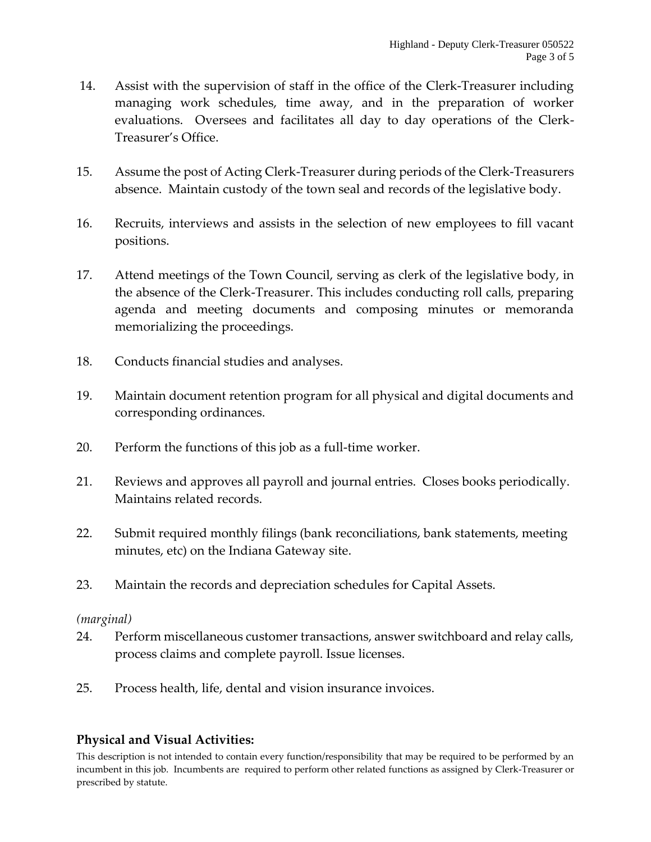- 14. Assist with the supervision of staff in the office of the Clerk-Treasurer including managing work schedules, time away, and in the preparation of worker evaluations. Oversees and facilitates all day to day operations of the Clerk-Treasurer's Office.
- 15. Assume the post of Acting Clerk-Treasurer during periods of the Clerk-Treasurers absence. Maintain custody of the town seal and records of the legislative body.
- 16. Recruits, interviews and assists in the selection of new employees to fill vacant positions.
- 17. Attend meetings of the Town Council, serving as clerk of the legislative body, in the absence of the Clerk-Treasurer. This includes conducting roll calls, preparing agenda and meeting documents and composing minutes or memoranda memorializing the proceedings.
- 18. Conducts financial studies and analyses.
- 19. Maintain document retention program for all physical and digital documents and corresponding ordinances.
- 20. Perform the functions of this job as a full-time worker.
- 21. Reviews and approves all payroll and journal entries. Closes books periodically. Maintains related records.
- 22. Submit required monthly filings (bank reconciliations, bank statements, meeting minutes, etc) on the Indiana Gateway site.
- 23. Maintain the records and depreciation schedules for Capital Assets.

# *(marginal)*

- 24. Perform miscellaneous customer transactions, answer switchboard and relay calls, process claims and complete payroll. Issue licenses.
- 25. Process health, life, dental and vision insurance invoices.

# **Physical and Visual Activities:**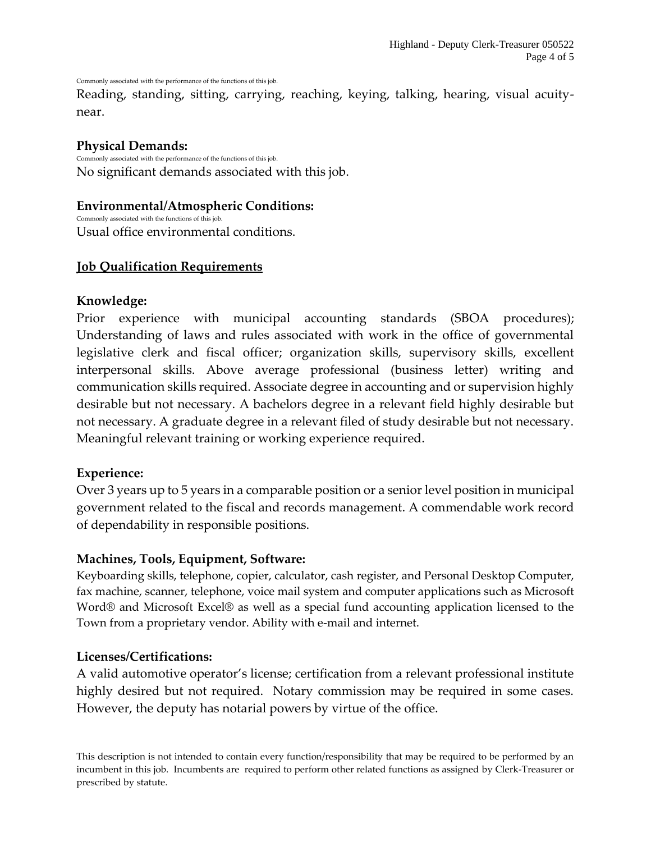Commonly associated with the performance of the functions of this job.

Reading, standing, sitting, carrying, reaching, keying, talking, hearing, visual acuitynear.

## **Physical Demands:**

Commonly associated with the performance of the functions of this job. No significant demands associated with this job.

#### **Environmental/Atmospheric Conditions:**

Commonly associated with the functions of this job. Usual office environmental conditions.

### **Job Qualification Requirements**

#### **Knowledge:**

Prior experience with municipal accounting standards (SBOA procedures); Understanding of laws and rules associated with work in the office of governmental legislative clerk and fiscal officer; organization skills, supervisory skills, excellent interpersonal skills. Above average professional (business letter) writing and communication skills required. Associate degree in accounting and or supervision highly desirable but not necessary. A bachelors degree in a relevant field highly desirable but not necessary. A graduate degree in a relevant filed of study desirable but not necessary. Meaningful relevant training or working experience required.

#### **Experience:**

Over 3 years up to 5 years in a comparable position or a senior level position in municipal government related to the fiscal and records management. A commendable work record of dependability in responsible positions.

#### **Machines, Tools, Equipment, Software:**

Keyboarding skills, telephone, copier, calculator, cash register, and Personal Desktop Computer, fax machine, scanner, telephone, voice mail system and computer applications such as Microsoft Word® and Microsoft Excel® as well as a special fund accounting application licensed to the Town from a proprietary vendor. Ability with e-mail and internet.

### **Licenses/Certifications:**

A valid automotive operator's license; certification from a relevant professional institute highly desired but not required. Notary commission may be required in some cases. However, the deputy has notarial powers by virtue of the office.